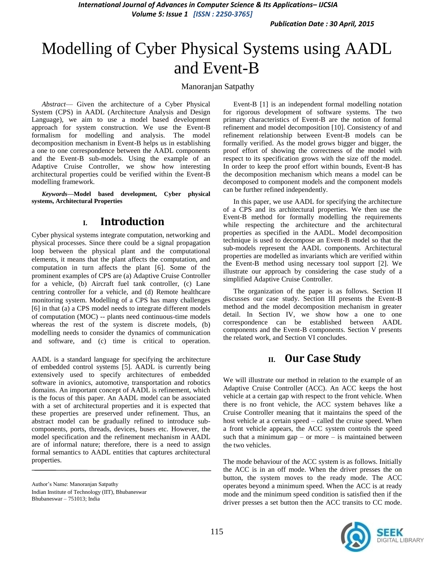*International Journal of Advances in Computer Science & Its Applications– IJCSIA Volume 5: Issue 1 [ISSN : 2250-3765]* 

*Publication Date : 30 April, 2015*

# Modelling of Cyber Physical Systems using AADL and Event-B

#### Manoranjan Satpathy

*Abstract*— Given the architecture of a Cyber Physical System (CPS) in AADL (Architecture Analysis and Design Language), we aim to use a model based development approach for system construction. We use the Event-B formalism for modelling and analysis. The model decomposition mechanism in Event-B helps us in establishing a one to one correspondence between the AADL components and the Event-B sub-models. Using the example of an Adaptive Cruise Controller, we show how interesting architectural properties could be verified within the Event-B modelling framework.

*Keywords—***Model based development, Cyber physical systems, Architectural Properties**

### **I. Introduction**

Cyber physical systems integrate computation, networking and physical processes. Since there could be a signal propagation loop between the physical plant and the computational elements, it means that the plant affects the computation, and computation in turn affects the plant [6]. Some of the prominent examples of CPS are (a) Adaptive Cruise Controller for a vehicle, (b) Aircraft fuel tank controller, (c) Lane centring controller for a vehicle, and (d) Remote healthcare monitoring system. Modelling of a CPS has many challenges [6] in that (a) a CPS model needs to integrate different models of computation (MOC) -- plants need continuous-time models whereas the rest of the system is discrete models, (b) modelling needs to consider the dynamics of communication and software, and (c) time is critical to operation.

AADL is a standard language for specifying the architecture of embedded control systems [5]. AADL is currently being extensively used to specify architectures of embedded software in avionics, automotive, transportation and robotics domains. An important concept of AADL is refinement, which is the focus of this paper. An AADL model can be associated with a set of architectural properties and it is expected that these properties are preserved under refinement. Thus, an abstract model can be gradually refined to introduce subcomponents, ports, threads, devices, buses etc. However, the model specification and the refinement mechanism in AADL are of informal nature; therefore, there is a need to assign formal semantics to AADL entities that captures architectural properties.

Author's Name: Manoranjan Satpathy Indian Institute of Technology (IIT), Bhubaneswar Bhubaneswar – 751013; India

Event-B [1] is an independent formal modelling notation for rigorous development of software systems. The two primary characteristics of Event-B are the notion of formal refinement and model decomposition [10]. Consistency of and refinement relationship between Event-B models can be formally verified. As the model grows bigger and bigger, the proof effort of showing the correctness of the model with respect to its specification grows with the size off the model. In order to keep the proof effort within bounds, Event-B has the decomposition mechanism which means a model can be decomposed to component models and the component models can be further refined independently.

In this paper, we use AADL for specifying the architecture of a CPS and its architectural properties. We then use the Event-B method for formally modelling the requirements while respecting the architecture and the architectural properties as specified in the AADL. Model decomposition technique is used to decompose an Event-B model so that the sub-models represent the AADL components. Architectural properties are modelled as invariants which are verified within the Event-B method using necessary tool support [2]. We illustrate our approach by considering the case study of a simplified Adaptive Cruise Controller.

The organization of the paper is as follows. Section II discusses our case study. Section III presents the Event-B method and the model decomposition mechanism in greater detail. In Section IV, we show how a one to one correspondence can be established between AADL components and the Event-B components. Section V presents the related work, and Section VI concludes.

## **II. Our Case Study**

We will illustrate our method in relation to the example of an Adaptive Cruise Controller (ACC). An ACC keeps the host vehicle at a certain gap with respect to the front vehicle. When there is no front vehicle, the ACC system behaves like a Cruise Controller meaning that it maintains the speed of the host vehicle at a certain speed – called the cruise speed. When a front vehicle appears, the ACC system controls the speed such that a minimum gap – or more – is maintained between the two vehicles.

The mode behaviour of the ACC system is as follows. Initially the ACC is in an off mode. When the driver presses the on button, the system moves to the ready mode. The ACC operates beyond a minimum speed. When the ACC is at ready mode and the minimum speed condition is satisfied then if the driver presses a set button then the ACC transits to CC mode.

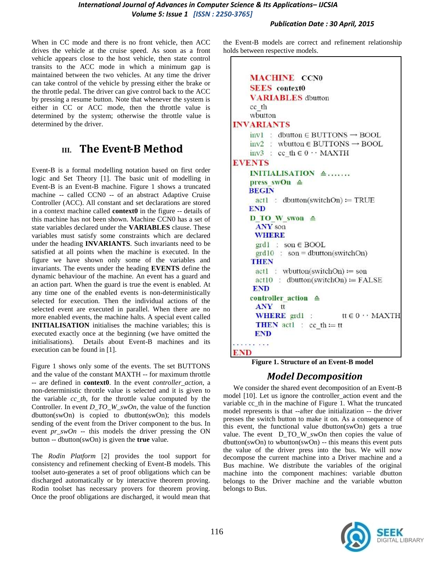When in CC mode and there is no front vehicle, then ACC drives the vehicle at the cruise speed. As soon as a front vehicle appears close to the host vehicle, then state control transits to the ACC mode in which a minimum gap is maintained between the two vehicles. At any time the driver can take control of the vehicle by pressing either the brake or the throttle pedal. The driver can give control back to the ACC by pressing a resume button. Note that whenever the system is either in CC or ACC mode, then the throttle value is determined by the system; otherwise the throttle value is determined by the driver.

# **III. The Event-B Method**

Event-B is a formal modelling notation based on first order logic and Set Theory [1]. The basic unit of modelling in Event-B is an Event-B machine. Figure 1 shows a truncated machine -- called CCN0 -- of an abstract Adaptive Cruise Controller (ACC). All constant and set declarations are stored in a context machine called **context0** in the figure -- details of this machine has not been shown. Machine CCN0 has a set of state variables declared under the **VARIABLES** clause. These variables must satisfy some constraints which are declared under the heading **INVARIANTS**. Such invariants need to be satisfied at all points when the machine is executed. In the figure we have shown only some of the variables and invariants. The events under the heading **EVENTS** define the dynamic behaviour of the machine. An event has a guard and an action part. When the guard is true the event is enabled. At any time one of the enabled events is non-deterministically selected for execution. Then the individual actions of the selected event are executed in parallel. When there are no more enabled events, the machine halts. A special event called **INITIALISATION** initialises the machine variables; this is executed exactly once at the beginning (we have omitted the initialisations). Details about Event-B machines and its execution can be found in [1].

Figure 1 shows only some of the events. The set BUTTONS and the value of the constant MAXTH -- for maximum throttle -- are defined in **context0**. In the event *controller\_action*, a non-deterministic throttle value is selected and it is given to the variable *cc\_th*, for the throttle value computed by the Controller. In event *D\_TO\_W\_swOn*, the value of the function dbutton(swOn) is copied to dbutton(swOn); this models sending of the event from the Driver component to the bus. In event *pr\_swOn* -- this models the driver pressing the ON button -- dbutton(swOn) is given the **true** value.

The *Rodin Platform* [2] provides the tool support for consistency and refinement checking of Event-B models. This toolset auto-generates a set of proof obligations which can be discharged automatically or by interactive theorem proving. Rodin toolset has necessary provers for theorem proving. Once the proof obligations are discharged, it would mean that the Event-B models are correct and refinement relationship holds between respective models.

| <b>MACHINE CCN0</b><br><b>SEES</b> context0                        |
|--------------------------------------------------------------------|
|                                                                    |
| <b>VARIABLES</b> dbutton                                           |
| cc th<br>wbutton                                                   |
|                                                                    |
| <b>INVARIANTS</b>                                                  |
| $inv1$ : dbutton $\in$ BUTTONS $\rightarrow$ BOOL                  |
| $inv2$ : wbutton $\in$ BUTTONS $\rightarrow$ BOOL                  |
| inv3 : cc th $\in$ 0 · MAXTH                                       |
| <b>EVENTS</b>                                                      |
| INITIALISATION $\triangle$                                         |
| press swOn $\triangle$                                             |
| <b>BEGIN</b>                                                       |
| $\text{act1}$ : dbutton(switchOn) = TRUE                           |
| <b>END</b>                                                         |
| D TO W swon $\triangleq$                                           |
| <b>ANY</b> son                                                     |
| <b>WHERE</b>                                                       |
| $grd1 : son \in BOOL$                                              |
| $grd10$ : son = dbutton(switchOn)                                  |
| THEN                                                               |
| $act1 : wbutton(switchOn) := son$                                  |
| $\text{act10}: \text{d}$ dbutton(switchOn) = FALSE                 |
| <b>END</b>                                                         |
| $controller$ action $\triangle$                                    |
| ANY tt                                                             |
| <b>WHERE</b> $\text{grd}1$ : $\text{tt} \in 0 \cdots \text{MAXTH}$ |
| <b>THEN</b> act1 : cc_th := tt<br><b>END</b>                       |
| .<br>END                                                           |
|                                                                    |

 **Figure 1. Structure of an Event-B model**

### *Model Decomposition*

We consider the shared event decomposition of an Event-B model [10]. Let us ignore the controller action event and the variable cc\_th in the machine of Figure 1. What the truncated model represents is that --after due initialization -- the driver presses the switch button to make it on. As a consequence of this event, the functional value dbutton(swOn) gets a true value. The event D\_TO\_W\_swOn then copies the value of dbutton(swOn) to wbutton(swOn) -- this means this event puts the value of the driver press into the bus. We will now decompose the current machine into a Driver machine and a Bus machine. We distribute the variables of the original machine into the component machines: variable dbutton belongs to the Driver machine and the variable wbutton belongs to Bus.

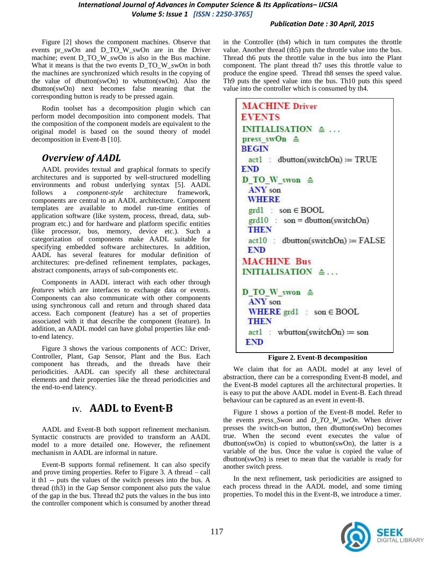#### *International Journal of Advances in Computer Science & Its Applications– IJCSIA Volume 5: Issue 1 [ISSN : 2250-3765]*

#### *Publication Date : 30 April, 2015*

Figure [2] shows the component machines. Observe that events pr\_swOn and D\_TO\_W\_swOn are in the Driver machine; event D\_TO\_W\_swOn is also in the Bus machine. What it means is that the two events D\_TO\_W\_swOn in both the machines are synchronized which results in the copying of the value of dbutton(swOn) to wbutton(swOn). Also the dbutton(swOn) next becomes false meaning that the corresponding button is ready to be pressed again.

Rodin toolset has a decomposition plugin which can perform model decomposition into component models. That the composition of the component models are equivalent to the original model is based on the sound theory of model decomposition in Event-B [10].

## *Overview of AADL*

AADL provides textual and graphical formats to specify architectures and is supported by well-structured modelling environments and robust underlying syntax [5]. AADL follows a *component-style* architecture framework, components are central to an AADL architecture. Component templates are available to model run-time entities of application software (like system, process, thread, data, subprogram etc.) and for hardware and platform specific entities (like processor, bus, memory, device etc.). Such a categorization of components make AADL suitable for specifying embedded software architectures. In addition, AADL has several features for modular definition of architectures: pre-defined refinement templates, packages, abstract components, arrays of sub-components etc.

Components in AADL interact with each other through *features* which are interfaces to exchange data or events. Components can also communicate with other components using synchronous call and return and through shared data access. Each component (feature) has a set of properties associated with it that describe the component (feature). In addition, an AADL model can have global properties like endto-end latency.

Figure 3 shows the various components of ACC: Driver, Controller, Plant, Gap Sensor, Plant and the Bus. Each component has threads, and the threads have their periodicities. AADL can specify all these architectural elements and their properties like the thread periodicities and the end-to-end latency.

## **IV. AADL to Event-B**

AADL and Event-B both support refinement mechanism. Syntactic constructs are provided to transform an AADL model to a more detailed one. However, the refinement mechanism in AADL are informal in nature.

Event-B supports formal refinement. It can also specify and prove timing properties. Refer to Figure 3. A thread – call it th1 -- puts the values of the switch presses into the bus. A thread (th3) in the Gap Sensor component also puts the value of the gap in the bus. Thread th2 puts the values in the bus into the controller component which is consumed by another thread

in the Controller (th4) which in turn computes the throttle value. Another thread (th5) puts the throttle value into the bus. Thread th6 puts the throttle value in the bus into the Plant component. The plant thread th7 uses this throttle value to produce the engine speed. Thread th8 senses the speed value. Th9 puts the speed value into the bus. Th10 puts this speed value into the controller which is consumed by th4.

```
MACHINE Driver
EVENTS
INITIALISATION \triangleq ...
press swOn \triangleqBEGIN
 act1 : dbutton(subCh) := TRUEEND
D TO W swon \triangleqANY son
 WHERE
 \text{grd}1 : son \in BOOL
 \text{grd}10 : son = dbutton(switchOn)
 THEN
 act10: dbutton(switchOn) = FALSE
 END
MACHINE Bus
INITIALISATION \triangleq...
D TO W swon \triangleqANY son
 WHERE \text{grd}1 : son \in BOOL
 THEN
 act1: wbutton(switchOn) := son
 END
```
#### **Figure 2. Event-B decomposition**

We claim that for an AADL model at any level of abstraction, there can be a corresponding Event-B model, and the Event-B model captures all the architectural properties. It is easy to put the above AADL model in Event-B. Each thread behaviour can be captured as an event in event-B.

Figure 1 shows a portion of the Event-B model. Refer to the events *press\_Swon* and *D\_TO\_W\_swOn*. When driver presses the switch-on button, then dbutton(swOn) becomes true. When the second event executes the value of dbutton(swOn) is copied to wbutton(swOn), the latter is a variable of the bus. Once the value is copied the value of dbutton(swOn) is reset to mean that the variable is ready for another switch press.

In the next refinement, task periodicities are assigned to each process thread in the AADL model, and some timing properties. To model this in the Event-B, we introduce a timer.

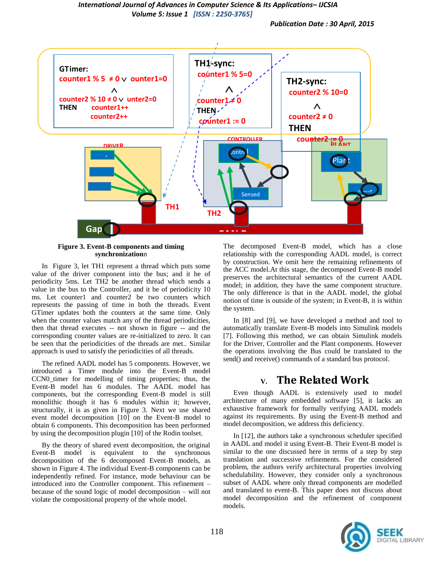#### *International Journal of Advances in Computer Science & Its Applications– IJCSIA Volume 5: Issue 1 [ISSN : 2250-3765]*

*Publication Date : 30 April, 2015*



## **Figure 3. Event-B components and timing synchronization**n **or**

In Figure 3, let TH1 represent a thread which puts some value of the driver component into the bus; and it be of periodicity 5ms. Let TH2 be another thread which sends a value in the bus to the Controller, and it be of periodicity 10 ms. Let counter1 and counter2 be two counters which represents the passing of time in both the threads. Event GTimer updates both the counters at the same time. Only when the counter values match any of the thread periodicities, then that thread executes -- not shown in figure -- and the corresponding counter values are re-initialized to zero. It can be seen that the periodicities of the threads are met.. Similar approach is used to satisfy the periodicities of all threads.

The refined AADL model has 5 components. However, we introduced a Timer module into the Event-B model CCN0\_timer for modelling of timing properties; thus, the Event-B model has 6 modules. The AADL model has components, but the corresponding Event-B model is still monolithic though it has 6 modules within it; however, structurally, it is as given in Figure 3. Next we use shared event model decomposition [10] on the Event-B model to obtain 6 components. This decomposition has been performed by using the decomposition plugin [10] of the Rodin toolset.

By the theory of shared event decomposition, the original Event-B model is equivalent to the synchronous decomposition of the 6 decomposed Event-B models, as shown in Figure 4. The individual Event-B components can be independently refined. For instance, mode behaviour can be introduced into the Controller component. This refinement – because of the sound logic of model decomposition – will not violate the compositional property of the whole model.

The decomposed Event-B model, which has a close relationship with the corresponding AADL model, is correct by construction. We omit here the remaining refinements of the ACC model.At this stage, the decomposed Event-B model preserves the architectural semantics of the current AADL model; in addition, they have the same component structure. The only difference is that in the AADL model, the global notion of time is outside of the system; in Event-B, it is within the system.

In [8] and [9], we have developed a method and tool to automatically translate Event-B models into Simulink models [7]. Following this method, we can obtain Simulink models for the Driver, Controller and the Plant components. However the operations involving the Bus could be translated to the send() and receive() commands of a standard bus protocol.

# **V. The Related Work**

Even though AADL is extensively used to model architecture of many embedded software [5], it lacks an exhaustive framework for formally verifying AADL models against its requirements. By using the Event-B method and model decomposition, we address this deficiency.

In [12], the authors take a synchronous scheduler specified in AADL and model it using Event-B. Their Event-B model is similar to the one discussed here in terms of a step by step translation and successive refinements. For the considered problem, the authors verify architectural properties involving schedulability. However, they consider only a synchronous subset of AADL where only thread components are modelled and translated to event-B. This paper does not discuss about model decomposition and the refinement of component models.